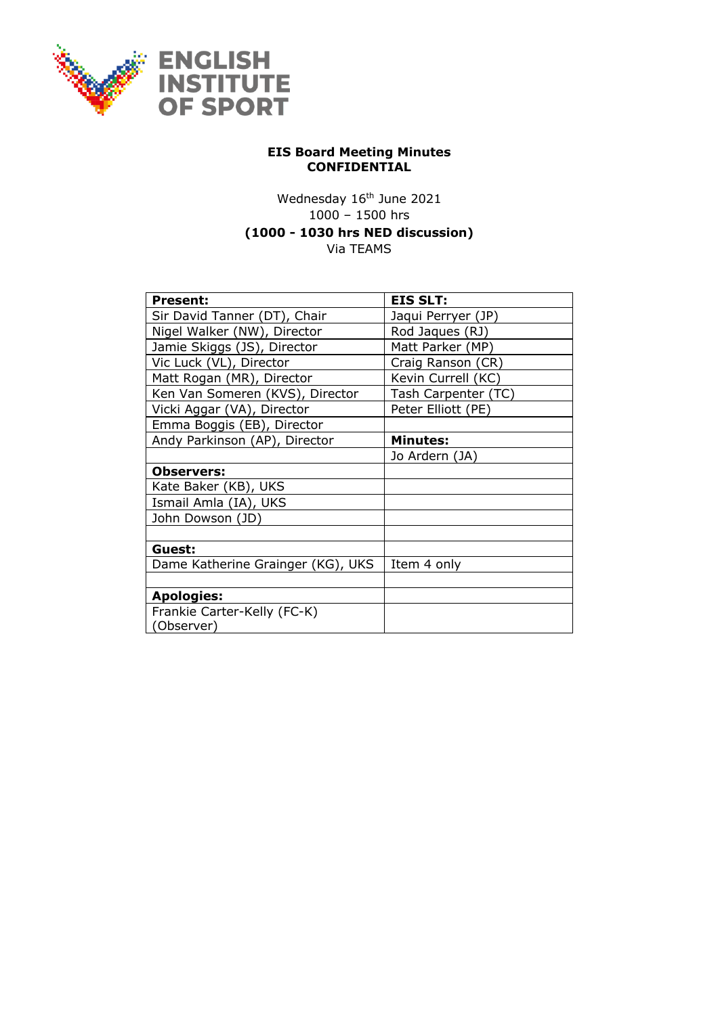

## **EIS Board Meeting Minutes CONFIDENTIAL**

## Wednesday 16<sup>th</sup> June 2021 1000 – 1500 hrs **(1000 - 1030 hrs NED discussion)** Via TEAMS

| <b>Present:</b>                   | <b>EIS SLT:</b>     |
|-----------------------------------|---------------------|
| Sir David Tanner (DT), Chair      | Jaqui Perryer (JP)  |
| Nigel Walker (NW), Director       | Rod Jaques (RJ)     |
| Jamie Skiggs (JS), Director       | Matt Parker (MP)    |
|                                   |                     |
| Vic Luck (VL), Director           | Craig Ranson (CR)   |
| Matt Rogan (MR), Director         | Kevin Currell (KC)  |
| Ken Van Someren (KVS), Director   | Tash Carpenter (TC) |
| Vicki Aggar (VA), Director        | Peter Elliott (PE)  |
| Emma Boggis (EB), Director        |                     |
| Andy Parkinson (AP), Director     | <b>Minutes:</b>     |
|                                   | Jo Ardern (JA)      |
| <b>Observers:</b>                 |                     |
| Kate Baker (KB), UKS              |                     |
| Ismail Amla (IA), UKS             |                     |
| John Dowson (JD)                  |                     |
|                                   |                     |
| Guest:                            |                     |
| Dame Katherine Grainger (KG), UKS | Item 4 only         |
|                                   |                     |
| <b>Apologies:</b>                 |                     |
| Frankie Carter-Kelly (FC-K)       |                     |
| (Observer)                        |                     |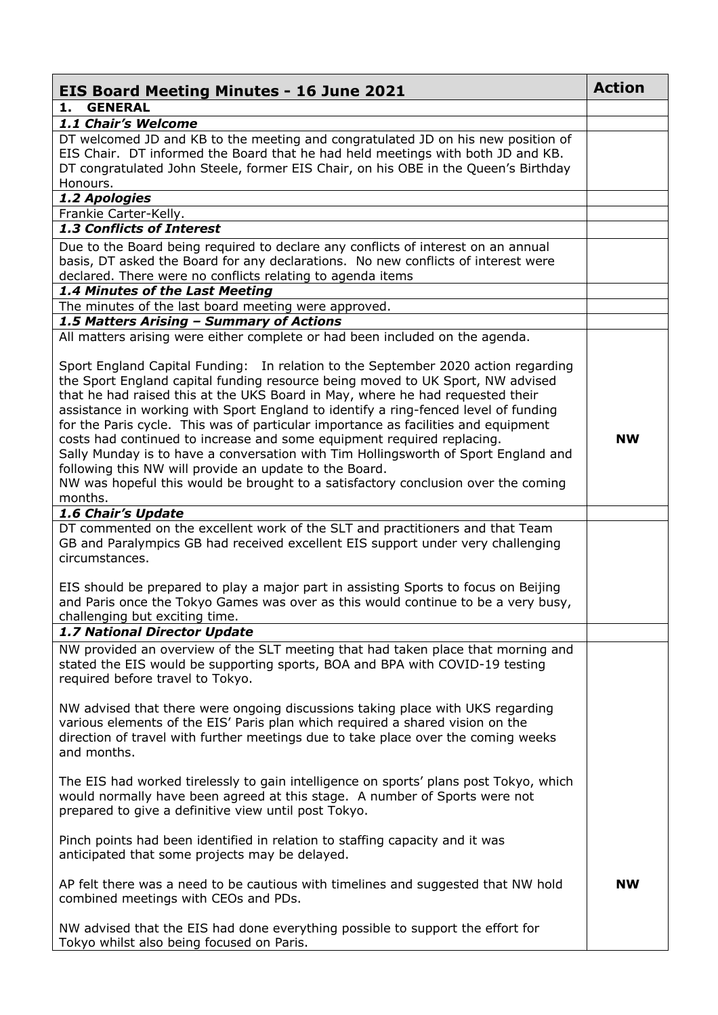| <b>GENERAL</b><br>1.<br>1.1 Chair's Welcome<br>DT welcomed JD and KB to the meeting and congratulated JD on his new position of<br>EIS Chair. DT informed the Board that he had held meetings with both JD and KB.<br>DT congratulated John Steele, former EIS Chair, on his OBE in the Queen's Birthday<br>Honours.<br>1.2 Apologies<br>Frankie Carter-Kelly.<br>1.3 Conflicts of Interest<br>Due to the Board being required to declare any conflicts of interest on an annual<br>basis, DT asked the Board for any declarations. No new conflicts of interest were<br>declared. There were no conflicts relating to agenda items<br>1.4 Minutes of the Last Meeting<br>The minutes of the last board meeting were approved.<br>1.5 Matters Arising - Summary of Actions<br>All matters arising were either complete or had been included on the agenda.<br>Sport England Capital Funding: In relation to the September 2020 action regarding<br>the Sport England capital funding resource being moved to UK Sport, NW advised<br>that he had raised this at the UKS Board in May, where he had requested their<br>assistance in working with Sport England to identify a ring-fenced level of funding<br>for the Paris cycle. This was of particular importance as facilities and equipment<br>costs had continued to increase and some equipment required replacing.<br><b>NW</b><br>Sally Munday is to have a conversation with Tim Hollingsworth of Sport England and<br>following this NW will provide an update to the Board.<br>NW was hopeful this would be brought to a satisfactory conclusion over the coming<br>months.<br>1.6 Chair's Update<br>DT commented on the excellent work of the SLT and practitioners and that Team<br>GB and Paralympics GB had received excellent EIS support under very challenging<br>circumstances.<br>EIS should be prepared to play a major part in assisting Sports to focus on Beijing<br>and Paris once the Tokyo Games was over as this would continue to be a very busy,<br>challenging but exciting time.<br>1.7 National Director Update<br>NW provided an overview of the SLT meeting that had taken place that morning and<br>stated the EIS would be supporting sports, BOA and BPA with COVID-19 testing<br>required before travel to Tokyo.<br>NW advised that there were ongoing discussions taking place with UKS regarding<br>various elements of the EIS' Paris plan which required a shared vision on the<br>direction of travel with further meetings due to take place over the coming weeks<br>and months.<br>The EIS had worked tirelessly to gain intelligence on sports' plans post Tokyo, which<br>would normally have been agreed at this stage. A number of Sports were not<br>prepared to give a definitive view until post Tokyo.<br>Pinch points had been identified in relation to staffing capacity and it was<br>anticipated that some projects may be delayed.<br>AP felt there was a need to be cautious with timelines and suggested that NW hold<br><b>NW</b><br>combined meetings with CEOs and PDs.<br>NW advised that the EIS had done everything possible to support the effort for<br>Tokyo whilst also being focused on Paris. | <b>EIS Board Meeting Minutes - 16 June 2021</b> | <b>Action</b> |
|---------------------------------------------------------------------------------------------------------------------------------------------------------------------------------------------------------------------------------------------------------------------------------------------------------------------------------------------------------------------------------------------------------------------------------------------------------------------------------------------------------------------------------------------------------------------------------------------------------------------------------------------------------------------------------------------------------------------------------------------------------------------------------------------------------------------------------------------------------------------------------------------------------------------------------------------------------------------------------------------------------------------------------------------------------------------------------------------------------------------------------------------------------------------------------------------------------------------------------------------------------------------------------------------------------------------------------------------------------------------------------------------------------------------------------------------------------------------------------------------------------------------------------------------------------------------------------------------------------------------------------------------------------------------------------------------------------------------------------------------------------------------------------------------------------------------------------------------------------------------------------------------------------------------------------------------------------------------------------------------------------------------------------------------------------------------------------------------------------------------------------------------------------------------------------------------------------------------------------------------------------------------------------------------------------------------------------------------------------------------------------------------------------------------------------------------------------------------------------------------------------------------------------------------------------------------------------------------------------------------------------------------------------------------------------------------------------------------------------------------------------------------------------------------------------------------------------------------------------------------------------------------------------------------------------------------------------------------------------------------------------------------------------------------------------------------------------------------------------------------------------------------------------------------------------------------------------------------------|-------------------------------------------------|---------------|
|                                                                                                                                                                                                                                                                                                                                                                                                                                                                                                                                                                                                                                                                                                                                                                                                                                                                                                                                                                                                                                                                                                                                                                                                                                                                                                                                                                                                                                                                                                                                                                                                                                                                                                                                                                                                                                                                                                                                                                                                                                                                                                                                                                                                                                                                                                                                                                                                                                                                                                                                                                                                                                                                                                                                                                                                                                                                                                                                                                                                                                                                                                                                                                                                                           |                                                 |               |
|                                                                                                                                                                                                                                                                                                                                                                                                                                                                                                                                                                                                                                                                                                                                                                                                                                                                                                                                                                                                                                                                                                                                                                                                                                                                                                                                                                                                                                                                                                                                                                                                                                                                                                                                                                                                                                                                                                                                                                                                                                                                                                                                                                                                                                                                                                                                                                                                                                                                                                                                                                                                                                                                                                                                                                                                                                                                                                                                                                                                                                                                                                                                                                                                                           |                                                 |               |
|                                                                                                                                                                                                                                                                                                                                                                                                                                                                                                                                                                                                                                                                                                                                                                                                                                                                                                                                                                                                                                                                                                                                                                                                                                                                                                                                                                                                                                                                                                                                                                                                                                                                                                                                                                                                                                                                                                                                                                                                                                                                                                                                                                                                                                                                                                                                                                                                                                                                                                                                                                                                                                                                                                                                                                                                                                                                                                                                                                                                                                                                                                                                                                                                                           |                                                 |               |
|                                                                                                                                                                                                                                                                                                                                                                                                                                                                                                                                                                                                                                                                                                                                                                                                                                                                                                                                                                                                                                                                                                                                                                                                                                                                                                                                                                                                                                                                                                                                                                                                                                                                                                                                                                                                                                                                                                                                                                                                                                                                                                                                                                                                                                                                                                                                                                                                                                                                                                                                                                                                                                                                                                                                                                                                                                                                                                                                                                                                                                                                                                                                                                                                                           |                                                 |               |
|                                                                                                                                                                                                                                                                                                                                                                                                                                                                                                                                                                                                                                                                                                                                                                                                                                                                                                                                                                                                                                                                                                                                                                                                                                                                                                                                                                                                                                                                                                                                                                                                                                                                                                                                                                                                                                                                                                                                                                                                                                                                                                                                                                                                                                                                                                                                                                                                                                                                                                                                                                                                                                                                                                                                                                                                                                                                                                                                                                                                                                                                                                                                                                                                                           |                                                 |               |
|                                                                                                                                                                                                                                                                                                                                                                                                                                                                                                                                                                                                                                                                                                                                                                                                                                                                                                                                                                                                                                                                                                                                                                                                                                                                                                                                                                                                                                                                                                                                                                                                                                                                                                                                                                                                                                                                                                                                                                                                                                                                                                                                                                                                                                                                                                                                                                                                                                                                                                                                                                                                                                                                                                                                                                                                                                                                                                                                                                                                                                                                                                                                                                                                                           |                                                 |               |
|                                                                                                                                                                                                                                                                                                                                                                                                                                                                                                                                                                                                                                                                                                                                                                                                                                                                                                                                                                                                                                                                                                                                                                                                                                                                                                                                                                                                                                                                                                                                                                                                                                                                                                                                                                                                                                                                                                                                                                                                                                                                                                                                                                                                                                                                                                                                                                                                                                                                                                                                                                                                                                                                                                                                                                                                                                                                                                                                                                                                                                                                                                                                                                                                                           |                                                 |               |
|                                                                                                                                                                                                                                                                                                                                                                                                                                                                                                                                                                                                                                                                                                                                                                                                                                                                                                                                                                                                                                                                                                                                                                                                                                                                                                                                                                                                                                                                                                                                                                                                                                                                                                                                                                                                                                                                                                                                                                                                                                                                                                                                                                                                                                                                                                                                                                                                                                                                                                                                                                                                                                                                                                                                                                                                                                                                                                                                                                                                                                                                                                                                                                                                                           |                                                 |               |
|                                                                                                                                                                                                                                                                                                                                                                                                                                                                                                                                                                                                                                                                                                                                                                                                                                                                                                                                                                                                                                                                                                                                                                                                                                                                                                                                                                                                                                                                                                                                                                                                                                                                                                                                                                                                                                                                                                                                                                                                                                                                                                                                                                                                                                                                                                                                                                                                                                                                                                                                                                                                                                                                                                                                                                                                                                                                                                                                                                                                                                                                                                                                                                                                                           |                                                 |               |
|                                                                                                                                                                                                                                                                                                                                                                                                                                                                                                                                                                                                                                                                                                                                                                                                                                                                                                                                                                                                                                                                                                                                                                                                                                                                                                                                                                                                                                                                                                                                                                                                                                                                                                                                                                                                                                                                                                                                                                                                                                                                                                                                                                                                                                                                                                                                                                                                                                                                                                                                                                                                                                                                                                                                                                                                                                                                                                                                                                                                                                                                                                                                                                                                                           |                                                 |               |
|                                                                                                                                                                                                                                                                                                                                                                                                                                                                                                                                                                                                                                                                                                                                                                                                                                                                                                                                                                                                                                                                                                                                                                                                                                                                                                                                                                                                                                                                                                                                                                                                                                                                                                                                                                                                                                                                                                                                                                                                                                                                                                                                                                                                                                                                                                                                                                                                                                                                                                                                                                                                                                                                                                                                                                                                                                                                                                                                                                                                                                                                                                                                                                                                                           |                                                 |               |
|                                                                                                                                                                                                                                                                                                                                                                                                                                                                                                                                                                                                                                                                                                                                                                                                                                                                                                                                                                                                                                                                                                                                                                                                                                                                                                                                                                                                                                                                                                                                                                                                                                                                                                                                                                                                                                                                                                                                                                                                                                                                                                                                                                                                                                                                                                                                                                                                                                                                                                                                                                                                                                                                                                                                                                                                                                                                                                                                                                                                                                                                                                                                                                                                                           |                                                 |               |
|                                                                                                                                                                                                                                                                                                                                                                                                                                                                                                                                                                                                                                                                                                                                                                                                                                                                                                                                                                                                                                                                                                                                                                                                                                                                                                                                                                                                                                                                                                                                                                                                                                                                                                                                                                                                                                                                                                                                                                                                                                                                                                                                                                                                                                                                                                                                                                                                                                                                                                                                                                                                                                                                                                                                                                                                                                                                                                                                                                                                                                                                                                                                                                                                                           |                                                 |               |
|                                                                                                                                                                                                                                                                                                                                                                                                                                                                                                                                                                                                                                                                                                                                                                                                                                                                                                                                                                                                                                                                                                                                                                                                                                                                                                                                                                                                                                                                                                                                                                                                                                                                                                                                                                                                                                                                                                                                                                                                                                                                                                                                                                                                                                                                                                                                                                                                                                                                                                                                                                                                                                                                                                                                                                                                                                                                                                                                                                                                                                                                                                                                                                                                                           |                                                 |               |
|                                                                                                                                                                                                                                                                                                                                                                                                                                                                                                                                                                                                                                                                                                                                                                                                                                                                                                                                                                                                                                                                                                                                                                                                                                                                                                                                                                                                                                                                                                                                                                                                                                                                                                                                                                                                                                                                                                                                                                                                                                                                                                                                                                                                                                                                                                                                                                                                                                                                                                                                                                                                                                                                                                                                                                                                                                                                                                                                                                                                                                                                                                                                                                                                                           |                                                 |               |
|                                                                                                                                                                                                                                                                                                                                                                                                                                                                                                                                                                                                                                                                                                                                                                                                                                                                                                                                                                                                                                                                                                                                                                                                                                                                                                                                                                                                                                                                                                                                                                                                                                                                                                                                                                                                                                                                                                                                                                                                                                                                                                                                                                                                                                                                                                                                                                                                                                                                                                                                                                                                                                                                                                                                                                                                                                                                                                                                                                                                                                                                                                                                                                                                                           |                                                 |               |
|                                                                                                                                                                                                                                                                                                                                                                                                                                                                                                                                                                                                                                                                                                                                                                                                                                                                                                                                                                                                                                                                                                                                                                                                                                                                                                                                                                                                                                                                                                                                                                                                                                                                                                                                                                                                                                                                                                                                                                                                                                                                                                                                                                                                                                                                                                                                                                                                                                                                                                                                                                                                                                                                                                                                                                                                                                                                                                                                                                                                                                                                                                                                                                                                                           |                                                 |               |
|                                                                                                                                                                                                                                                                                                                                                                                                                                                                                                                                                                                                                                                                                                                                                                                                                                                                                                                                                                                                                                                                                                                                                                                                                                                                                                                                                                                                                                                                                                                                                                                                                                                                                                                                                                                                                                                                                                                                                                                                                                                                                                                                                                                                                                                                                                                                                                                                                                                                                                                                                                                                                                                                                                                                                                                                                                                                                                                                                                                                                                                                                                                                                                                                                           |                                                 |               |
|                                                                                                                                                                                                                                                                                                                                                                                                                                                                                                                                                                                                                                                                                                                                                                                                                                                                                                                                                                                                                                                                                                                                                                                                                                                                                                                                                                                                                                                                                                                                                                                                                                                                                                                                                                                                                                                                                                                                                                                                                                                                                                                                                                                                                                                                                                                                                                                                                                                                                                                                                                                                                                                                                                                                                                                                                                                                                                                                                                                                                                                                                                                                                                                                                           |                                                 |               |
|                                                                                                                                                                                                                                                                                                                                                                                                                                                                                                                                                                                                                                                                                                                                                                                                                                                                                                                                                                                                                                                                                                                                                                                                                                                                                                                                                                                                                                                                                                                                                                                                                                                                                                                                                                                                                                                                                                                                                                                                                                                                                                                                                                                                                                                                                                                                                                                                                                                                                                                                                                                                                                                                                                                                                                                                                                                                                                                                                                                                                                                                                                                                                                                                                           |                                                 |               |
|                                                                                                                                                                                                                                                                                                                                                                                                                                                                                                                                                                                                                                                                                                                                                                                                                                                                                                                                                                                                                                                                                                                                                                                                                                                                                                                                                                                                                                                                                                                                                                                                                                                                                                                                                                                                                                                                                                                                                                                                                                                                                                                                                                                                                                                                                                                                                                                                                                                                                                                                                                                                                                                                                                                                                                                                                                                                                                                                                                                                                                                                                                                                                                                                                           |                                                 |               |
|                                                                                                                                                                                                                                                                                                                                                                                                                                                                                                                                                                                                                                                                                                                                                                                                                                                                                                                                                                                                                                                                                                                                                                                                                                                                                                                                                                                                                                                                                                                                                                                                                                                                                                                                                                                                                                                                                                                                                                                                                                                                                                                                                                                                                                                                                                                                                                                                                                                                                                                                                                                                                                                                                                                                                                                                                                                                                                                                                                                                                                                                                                                                                                                                                           |                                                 |               |
|                                                                                                                                                                                                                                                                                                                                                                                                                                                                                                                                                                                                                                                                                                                                                                                                                                                                                                                                                                                                                                                                                                                                                                                                                                                                                                                                                                                                                                                                                                                                                                                                                                                                                                                                                                                                                                                                                                                                                                                                                                                                                                                                                                                                                                                                                                                                                                                                                                                                                                                                                                                                                                                                                                                                                                                                                                                                                                                                                                                                                                                                                                                                                                                                                           |                                                 |               |
|                                                                                                                                                                                                                                                                                                                                                                                                                                                                                                                                                                                                                                                                                                                                                                                                                                                                                                                                                                                                                                                                                                                                                                                                                                                                                                                                                                                                                                                                                                                                                                                                                                                                                                                                                                                                                                                                                                                                                                                                                                                                                                                                                                                                                                                                                                                                                                                                                                                                                                                                                                                                                                                                                                                                                                                                                                                                                                                                                                                                                                                                                                                                                                                                                           |                                                 |               |
|                                                                                                                                                                                                                                                                                                                                                                                                                                                                                                                                                                                                                                                                                                                                                                                                                                                                                                                                                                                                                                                                                                                                                                                                                                                                                                                                                                                                                                                                                                                                                                                                                                                                                                                                                                                                                                                                                                                                                                                                                                                                                                                                                                                                                                                                                                                                                                                                                                                                                                                                                                                                                                                                                                                                                                                                                                                                                                                                                                                                                                                                                                                                                                                                                           |                                                 |               |
|                                                                                                                                                                                                                                                                                                                                                                                                                                                                                                                                                                                                                                                                                                                                                                                                                                                                                                                                                                                                                                                                                                                                                                                                                                                                                                                                                                                                                                                                                                                                                                                                                                                                                                                                                                                                                                                                                                                                                                                                                                                                                                                                                                                                                                                                                                                                                                                                                                                                                                                                                                                                                                                                                                                                                                                                                                                                                                                                                                                                                                                                                                                                                                                                                           |                                                 |               |
|                                                                                                                                                                                                                                                                                                                                                                                                                                                                                                                                                                                                                                                                                                                                                                                                                                                                                                                                                                                                                                                                                                                                                                                                                                                                                                                                                                                                                                                                                                                                                                                                                                                                                                                                                                                                                                                                                                                                                                                                                                                                                                                                                                                                                                                                                                                                                                                                                                                                                                                                                                                                                                                                                                                                                                                                                                                                                                                                                                                                                                                                                                                                                                                                                           |                                                 |               |
|                                                                                                                                                                                                                                                                                                                                                                                                                                                                                                                                                                                                                                                                                                                                                                                                                                                                                                                                                                                                                                                                                                                                                                                                                                                                                                                                                                                                                                                                                                                                                                                                                                                                                                                                                                                                                                                                                                                                                                                                                                                                                                                                                                                                                                                                                                                                                                                                                                                                                                                                                                                                                                                                                                                                                                                                                                                                                                                                                                                                                                                                                                                                                                                                                           |                                                 |               |
|                                                                                                                                                                                                                                                                                                                                                                                                                                                                                                                                                                                                                                                                                                                                                                                                                                                                                                                                                                                                                                                                                                                                                                                                                                                                                                                                                                                                                                                                                                                                                                                                                                                                                                                                                                                                                                                                                                                                                                                                                                                                                                                                                                                                                                                                                                                                                                                                                                                                                                                                                                                                                                                                                                                                                                                                                                                                                                                                                                                                                                                                                                                                                                                                                           |                                                 |               |
|                                                                                                                                                                                                                                                                                                                                                                                                                                                                                                                                                                                                                                                                                                                                                                                                                                                                                                                                                                                                                                                                                                                                                                                                                                                                                                                                                                                                                                                                                                                                                                                                                                                                                                                                                                                                                                                                                                                                                                                                                                                                                                                                                                                                                                                                                                                                                                                                                                                                                                                                                                                                                                                                                                                                                                                                                                                                                                                                                                                                                                                                                                                                                                                                                           |                                                 |               |
|                                                                                                                                                                                                                                                                                                                                                                                                                                                                                                                                                                                                                                                                                                                                                                                                                                                                                                                                                                                                                                                                                                                                                                                                                                                                                                                                                                                                                                                                                                                                                                                                                                                                                                                                                                                                                                                                                                                                                                                                                                                                                                                                                                                                                                                                                                                                                                                                                                                                                                                                                                                                                                                                                                                                                                                                                                                                                                                                                                                                                                                                                                                                                                                                                           |                                                 |               |
|                                                                                                                                                                                                                                                                                                                                                                                                                                                                                                                                                                                                                                                                                                                                                                                                                                                                                                                                                                                                                                                                                                                                                                                                                                                                                                                                                                                                                                                                                                                                                                                                                                                                                                                                                                                                                                                                                                                                                                                                                                                                                                                                                                                                                                                                                                                                                                                                                                                                                                                                                                                                                                                                                                                                                                                                                                                                                                                                                                                                                                                                                                                                                                                                                           |                                                 |               |
|                                                                                                                                                                                                                                                                                                                                                                                                                                                                                                                                                                                                                                                                                                                                                                                                                                                                                                                                                                                                                                                                                                                                                                                                                                                                                                                                                                                                                                                                                                                                                                                                                                                                                                                                                                                                                                                                                                                                                                                                                                                                                                                                                                                                                                                                                                                                                                                                                                                                                                                                                                                                                                                                                                                                                                                                                                                                                                                                                                                                                                                                                                                                                                                                                           |                                                 |               |
|                                                                                                                                                                                                                                                                                                                                                                                                                                                                                                                                                                                                                                                                                                                                                                                                                                                                                                                                                                                                                                                                                                                                                                                                                                                                                                                                                                                                                                                                                                                                                                                                                                                                                                                                                                                                                                                                                                                                                                                                                                                                                                                                                                                                                                                                                                                                                                                                                                                                                                                                                                                                                                                                                                                                                                                                                                                                                                                                                                                                                                                                                                                                                                                                                           |                                                 |               |
|                                                                                                                                                                                                                                                                                                                                                                                                                                                                                                                                                                                                                                                                                                                                                                                                                                                                                                                                                                                                                                                                                                                                                                                                                                                                                                                                                                                                                                                                                                                                                                                                                                                                                                                                                                                                                                                                                                                                                                                                                                                                                                                                                                                                                                                                                                                                                                                                                                                                                                                                                                                                                                                                                                                                                                                                                                                                                                                                                                                                                                                                                                                                                                                                                           |                                                 |               |
|                                                                                                                                                                                                                                                                                                                                                                                                                                                                                                                                                                                                                                                                                                                                                                                                                                                                                                                                                                                                                                                                                                                                                                                                                                                                                                                                                                                                                                                                                                                                                                                                                                                                                                                                                                                                                                                                                                                                                                                                                                                                                                                                                                                                                                                                                                                                                                                                                                                                                                                                                                                                                                                                                                                                                                                                                                                                                                                                                                                                                                                                                                                                                                                                                           |                                                 |               |
|                                                                                                                                                                                                                                                                                                                                                                                                                                                                                                                                                                                                                                                                                                                                                                                                                                                                                                                                                                                                                                                                                                                                                                                                                                                                                                                                                                                                                                                                                                                                                                                                                                                                                                                                                                                                                                                                                                                                                                                                                                                                                                                                                                                                                                                                                                                                                                                                                                                                                                                                                                                                                                                                                                                                                                                                                                                                                                                                                                                                                                                                                                                                                                                                                           |                                                 |               |
|                                                                                                                                                                                                                                                                                                                                                                                                                                                                                                                                                                                                                                                                                                                                                                                                                                                                                                                                                                                                                                                                                                                                                                                                                                                                                                                                                                                                                                                                                                                                                                                                                                                                                                                                                                                                                                                                                                                                                                                                                                                                                                                                                                                                                                                                                                                                                                                                                                                                                                                                                                                                                                                                                                                                                                                                                                                                                                                                                                                                                                                                                                                                                                                                                           |                                                 |               |
|                                                                                                                                                                                                                                                                                                                                                                                                                                                                                                                                                                                                                                                                                                                                                                                                                                                                                                                                                                                                                                                                                                                                                                                                                                                                                                                                                                                                                                                                                                                                                                                                                                                                                                                                                                                                                                                                                                                                                                                                                                                                                                                                                                                                                                                                                                                                                                                                                                                                                                                                                                                                                                                                                                                                                                                                                                                                                                                                                                                                                                                                                                                                                                                                                           |                                                 |               |
|                                                                                                                                                                                                                                                                                                                                                                                                                                                                                                                                                                                                                                                                                                                                                                                                                                                                                                                                                                                                                                                                                                                                                                                                                                                                                                                                                                                                                                                                                                                                                                                                                                                                                                                                                                                                                                                                                                                                                                                                                                                                                                                                                                                                                                                                                                                                                                                                                                                                                                                                                                                                                                                                                                                                                                                                                                                                                                                                                                                                                                                                                                                                                                                                                           |                                                 |               |
|                                                                                                                                                                                                                                                                                                                                                                                                                                                                                                                                                                                                                                                                                                                                                                                                                                                                                                                                                                                                                                                                                                                                                                                                                                                                                                                                                                                                                                                                                                                                                                                                                                                                                                                                                                                                                                                                                                                                                                                                                                                                                                                                                                                                                                                                                                                                                                                                                                                                                                                                                                                                                                                                                                                                                                                                                                                                                                                                                                                                                                                                                                                                                                                                                           |                                                 |               |
|                                                                                                                                                                                                                                                                                                                                                                                                                                                                                                                                                                                                                                                                                                                                                                                                                                                                                                                                                                                                                                                                                                                                                                                                                                                                                                                                                                                                                                                                                                                                                                                                                                                                                                                                                                                                                                                                                                                                                                                                                                                                                                                                                                                                                                                                                                                                                                                                                                                                                                                                                                                                                                                                                                                                                                                                                                                                                                                                                                                                                                                                                                                                                                                                                           |                                                 |               |
|                                                                                                                                                                                                                                                                                                                                                                                                                                                                                                                                                                                                                                                                                                                                                                                                                                                                                                                                                                                                                                                                                                                                                                                                                                                                                                                                                                                                                                                                                                                                                                                                                                                                                                                                                                                                                                                                                                                                                                                                                                                                                                                                                                                                                                                                                                                                                                                                                                                                                                                                                                                                                                                                                                                                                                                                                                                                                                                                                                                                                                                                                                                                                                                                                           |                                                 |               |
|                                                                                                                                                                                                                                                                                                                                                                                                                                                                                                                                                                                                                                                                                                                                                                                                                                                                                                                                                                                                                                                                                                                                                                                                                                                                                                                                                                                                                                                                                                                                                                                                                                                                                                                                                                                                                                                                                                                                                                                                                                                                                                                                                                                                                                                                                                                                                                                                                                                                                                                                                                                                                                                                                                                                                                                                                                                                                                                                                                                                                                                                                                                                                                                                                           |                                                 |               |
|                                                                                                                                                                                                                                                                                                                                                                                                                                                                                                                                                                                                                                                                                                                                                                                                                                                                                                                                                                                                                                                                                                                                                                                                                                                                                                                                                                                                                                                                                                                                                                                                                                                                                                                                                                                                                                                                                                                                                                                                                                                                                                                                                                                                                                                                                                                                                                                                                                                                                                                                                                                                                                                                                                                                                                                                                                                                                                                                                                                                                                                                                                                                                                                                                           |                                                 |               |
|                                                                                                                                                                                                                                                                                                                                                                                                                                                                                                                                                                                                                                                                                                                                                                                                                                                                                                                                                                                                                                                                                                                                                                                                                                                                                                                                                                                                                                                                                                                                                                                                                                                                                                                                                                                                                                                                                                                                                                                                                                                                                                                                                                                                                                                                                                                                                                                                                                                                                                                                                                                                                                                                                                                                                                                                                                                                                                                                                                                                                                                                                                                                                                                                                           |                                                 |               |
|                                                                                                                                                                                                                                                                                                                                                                                                                                                                                                                                                                                                                                                                                                                                                                                                                                                                                                                                                                                                                                                                                                                                                                                                                                                                                                                                                                                                                                                                                                                                                                                                                                                                                                                                                                                                                                                                                                                                                                                                                                                                                                                                                                                                                                                                                                                                                                                                                                                                                                                                                                                                                                                                                                                                                                                                                                                                                                                                                                                                                                                                                                                                                                                                                           |                                                 |               |
|                                                                                                                                                                                                                                                                                                                                                                                                                                                                                                                                                                                                                                                                                                                                                                                                                                                                                                                                                                                                                                                                                                                                                                                                                                                                                                                                                                                                                                                                                                                                                                                                                                                                                                                                                                                                                                                                                                                                                                                                                                                                                                                                                                                                                                                                                                                                                                                                                                                                                                                                                                                                                                                                                                                                                                                                                                                                                                                                                                                                                                                                                                                                                                                                                           |                                                 |               |
|                                                                                                                                                                                                                                                                                                                                                                                                                                                                                                                                                                                                                                                                                                                                                                                                                                                                                                                                                                                                                                                                                                                                                                                                                                                                                                                                                                                                                                                                                                                                                                                                                                                                                                                                                                                                                                                                                                                                                                                                                                                                                                                                                                                                                                                                                                                                                                                                                                                                                                                                                                                                                                                                                                                                                                                                                                                                                                                                                                                                                                                                                                                                                                                                                           |                                                 |               |
|                                                                                                                                                                                                                                                                                                                                                                                                                                                                                                                                                                                                                                                                                                                                                                                                                                                                                                                                                                                                                                                                                                                                                                                                                                                                                                                                                                                                                                                                                                                                                                                                                                                                                                                                                                                                                                                                                                                                                                                                                                                                                                                                                                                                                                                                                                                                                                                                                                                                                                                                                                                                                                                                                                                                                                                                                                                                                                                                                                                                                                                                                                                                                                                                                           |                                                 |               |
|                                                                                                                                                                                                                                                                                                                                                                                                                                                                                                                                                                                                                                                                                                                                                                                                                                                                                                                                                                                                                                                                                                                                                                                                                                                                                                                                                                                                                                                                                                                                                                                                                                                                                                                                                                                                                                                                                                                                                                                                                                                                                                                                                                                                                                                                                                                                                                                                                                                                                                                                                                                                                                                                                                                                                                                                                                                                                                                                                                                                                                                                                                                                                                                                                           |                                                 |               |
|                                                                                                                                                                                                                                                                                                                                                                                                                                                                                                                                                                                                                                                                                                                                                                                                                                                                                                                                                                                                                                                                                                                                                                                                                                                                                                                                                                                                                                                                                                                                                                                                                                                                                                                                                                                                                                                                                                                                                                                                                                                                                                                                                                                                                                                                                                                                                                                                                                                                                                                                                                                                                                                                                                                                                                                                                                                                                                                                                                                                                                                                                                                                                                                                                           |                                                 |               |
|                                                                                                                                                                                                                                                                                                                                                                                                                                                                                                                                                                                                                                                                                                                                                                                                                                                                                                                                                                                                                                                                                                                                                                                                                                                                                                                                                                                                                                                                                                                                                                                                                                                                                                                                                                                                                                                                                                                                                                                                                                                                                                                                                                                                                                                                                                                                                                                                                                                                                                                                                                                                                                                                                                                                                                                                                                                                                                                                                                                                                                                                                                                                                                                                                           |                                                 |               |
|                                                                                                                                                                                                                                                                                                                                                                                                                                                                                                                                                                                                                                                                                                                                                                                                                                                                                                                                                                                                                                                                                                                                                                                                                                                                                                                                                                                                                                                                                                                                                                                                                                                                                                                                                                                                                                                                                                                                                                                                                                                                                                                                                                                                                                                                                                                                                                                                                                                                                                                                                                                                                                                                                                                                                                                                                                                                                                                                                                                                                                                                                                                                                                                                                           |                                                 |               |
|                                                                                                                                                                                                                                                                                                                                                                                                                                                                                                                                                                                                                                                                                                                                                                                                                                                                                                                                                                                                                                                                                                                                                                                                                                                                                                                                                                                                                                                                                                                                                                                                                                                                                                                                                                                                                                                                                                                                                                                                                                                                                                                                                                                                                                                                                                                                                                                                                                                                                                                                                                                                                                                                                                                                                                                                                                                                                                                                                                                                                                                                                                                                                                                                                           |                                                 |               |
|                                                                                                                                                                                                                                                                                                                                                                                                                                                                                                                                                                                                                                                                                                                                                                                                                                                                                                                                                                                                                                                                                                                                                                                                                                                                                                                                                                                                                                                                                                                                                                                                                                                                                                                                                                                                                                                                                                                                                                                                                                                                                                                                                                                                                                                                                                                                                                                                                                                                                                                                                                                                                                                                                                                                                                                                                                                                                                                                                                                                                                                                                                                                                                                                                           |                                                 |               |
|                                                                                                                                                                                                                                                                                                                                                                                                                                                                                                                                                                                                                                                                                                                                                                                                                                                                                                                                                                                                                                                                                                                                                                                                                                                                                                                                                                                                                                                                                                                                                                                                                                                                                                                                                                                                                                                                                                                                                                                                                                                                                                                                                                                                                                                                                                                                                                                                                                                                                                                                                                                                                                                                                                                                                                                                                                                                                                                                                                                                                                                                                                                                                                                                                           |                                                 |               |
|                                                                                                                                                                                                                                                                                                                                                                                                                                                                                                                                                                                                                                                                                                                                                                                                                                                                                                                                                                                                                                                                                                                                                                                                                                                                                                                                                                                                                                                                                                                                                                                                                                                                                                                                                                                                                                                                                                                                                                                                                                                                                                                                                                                                                                                                                                                                                                                                                                                                                                                                                                                                                                                                                                                                                                                                                                                                                                                                                                                                                                                                                                                                                                                                                           |                                                 |               |
|                                                                                                                                                                                                                                                                                                                                                                                                                                                                                                                                                                                                                                                                                                                                                                                                                                                                                                                                                                                                                                                                                                                                                                                                                                                                                                                                                                                                                                                                                                                                                                                                                                                                                                                                                                                                                                                                                                                                                                                                                                                                                                                                                                                                                                                                                                                                                                                                                                                                                                                                                                                                                                                                                                                                                                                                                                                                                                                                                                                                                                                                                                                                                                                                                           |                                                 |               |
|                                                                                                                                                                                                                                                                                                                                                                                                                                                                                                                                                                                                                                                                                                                                                                                                                                                                                                                                                                                                                                                                                                                                                                                                                                                                                                                                                                                                                                                                                                                                                                                                                                                                                                                                                                                                                                                                                                                                                                                                                                                                                                                                                                                                                                                                                                                                                                                                                                                                                                                                                                                                                                                                                                                                                                                                                                                                                                                                                                                                                                                                                                                                                                                                                           |                                                 |               |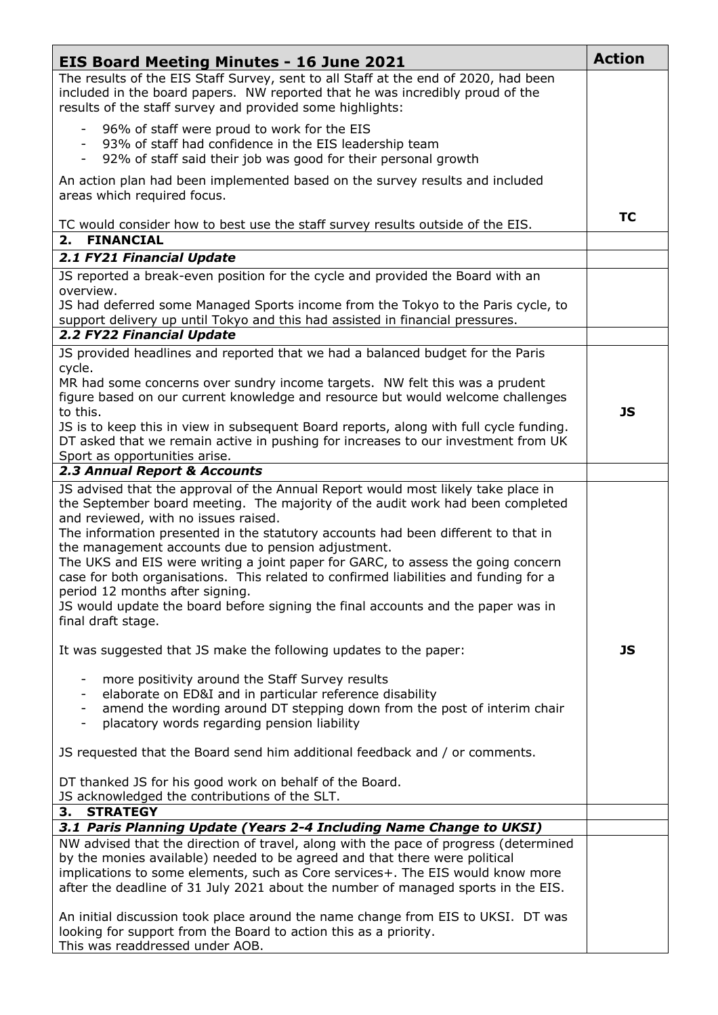| <b>EIS Board Meeting Minutes - 16 June 2021</b>                                                                                                                                                                                                                                                                                                                                                                                                                                                                                                                                                                                                                                                                                                      | <b>Action</b> |
|------------------------------------------------------------------------------------------------------------------------------------------------------------------------------------------------------------------------------------------------------------------------------------------------------------------------------------------------------------------------------------------------------------------------------------------------------------------------------------------------------------------------------------------------------------------------------------------------------------------------------------------------------------------------------------------------------------------------------------------------------|---------------|
| The results of the EIS Staff Survey, sent to all Staff at the end of 2020, had been<br>included in the board papers. NW reported that he was incredibly proud of the<br>results of the staff survey and provided some highlights:                                                                                                                                                                                                                                                                                                                                                                                                                                                                                                                    |               |
| 96% of staff were proud to work for the EIS<br>93% of staff had confidence in the EIS leadership team<br>92% of staff said their job was good for their personal growth                                                                                                                                                                                                                                                                                                                                                                                                                                                                                                                                                                              |               |
| An action plan had been implemented based on the survey results and included<br>areas which required focus.                                                                                                                                                                                                                                                                                                                                                                                                                                                                                                                                                                                                                                          |               |
| TC would consider how to best use the staff survey results outside of the EIS.<br><b>FINANCIAL</b><br>2.                                                                                                                                                                                                                                                                                                                                                                                                                                                                                                                                                                                                                                             | <b>TC</b>     |
| 2.1 FY21 Financial Update                                                                                                                                                                                                                                                                                                                                                                                                                                                                                                                                                                                                                                                                                                                            |               |
| JS reported a break-even position for the cycle and provided the Board with an                                                                                                                                                                                                                                                                                                                                                                                                                                                                                                                                                                                                                                                                       |               |
| overview.<br>JS had deferred some Managed Sports income from the Tokyo to the Paris cycle, to<br>support delivery up until Tokyo and this had assisted in financial pressures.                                                                                                                                                                                                                                                                                                                                                                                                                                                                                                                                                                       |               |
| 2.2 FY22 Financial Update                                                                                                                                                                                                                                                                                                                                                                                                                                                                                                                                                                                                                                                                                                                            |               |
| JS provided headlines and reported that we had a balanced budget for the Paris<br>cycle.                                                                                                                                                                                                                                                                                                                                                                                                                                                                                                                                                                                                                                                             |               |
| MR had some concerns over sundry income targets. NW felt this was a prudent<br>figure based on our current knowledge and resource but would welcome challenges<br>to this.                                                                                                                                                                                                                                                                                                                                                                                                                                                                                                                                                                           | JS            |
| JS is to keep this in view in subsequent Board reports, along with full cycle funding.<br>DT asked that we remain active in pushing for increases to our investment from UK<br>Sport as opportunities arise.                                                                                                                                                                                                                                                                                                                                                                                                                                                                                                                                         |               |
| 2.3 Annual Report & Accounts                                                                                                                                                                                                                                                                                                                                                                                                                                                                                                                                                                                                                                                                                                                         |               |
| JS advised that the approval of the Annual Report would most likely take place in<br>the September board meeting. The majority of the audit work had been completed<br>and reviewed, with no issues raised.<br>The information presented in the statutory accounts had been different to that in<br>the management accounts due to pension adjustment.<br>The UKS and EIS were writing a joint paper for GARC, to assess the going concern<br>case for both organisations. This related to confirmed liabilities and funding for a<br>period 12 months after signing.<br>JS would update the board before signing the final accounts and the paper was in<br>final draft stage.<br>It was suggested that JS make the following updates to the paper: | JS            |
| more positivity around the Staff Survey results<br>-<br>elaborate on ED&I and in particular reference disability<br>amend the wording around DT stepping down from the post of interim chair<br>placatory words regarding pension liability<br>-<br>JS requested that the Board send him additional feedback and / or comments.                                                                                                                                                                                                                                                                                                                                                                                                                      |               |
| DT thanked JS for his good work on behalf of the Board.<br>JS acknowledged the contributions of the SLT.<br><b>STRATEGY</b><br>3.                                                                                                                                                                                                                                                                                                                                                                                                                                                                                                                                                                                                                    |               |
| 3.1 Paris Planning Update (Years 2-4 Including Name Change to UKSI)                                                                                                                                                                                                                                                                                                                                                                                                                                                                                                                                                                                                                                                                                  |               |
| NW advised that the direction of travel, along with the pace of progress (determined<br>by the monies available) needed to be agreed and that there were political<br>implications to some elements, such as Core services+. The EIS would know more<br>after the deadline of 31 July 2021 about the number of managed sports in the EIS.                                                                                                                                                                                                                                                                                                                                                                                                            |               |
| An initial discussion took place around the name change from EIS to UKSI. DT was<br>looking for support from the Board to action this as a priority.<br>This was readdressed under AOB.                                                                                                                                                                                                                                                                                                                                                                                                                                                                                                                                                              |               |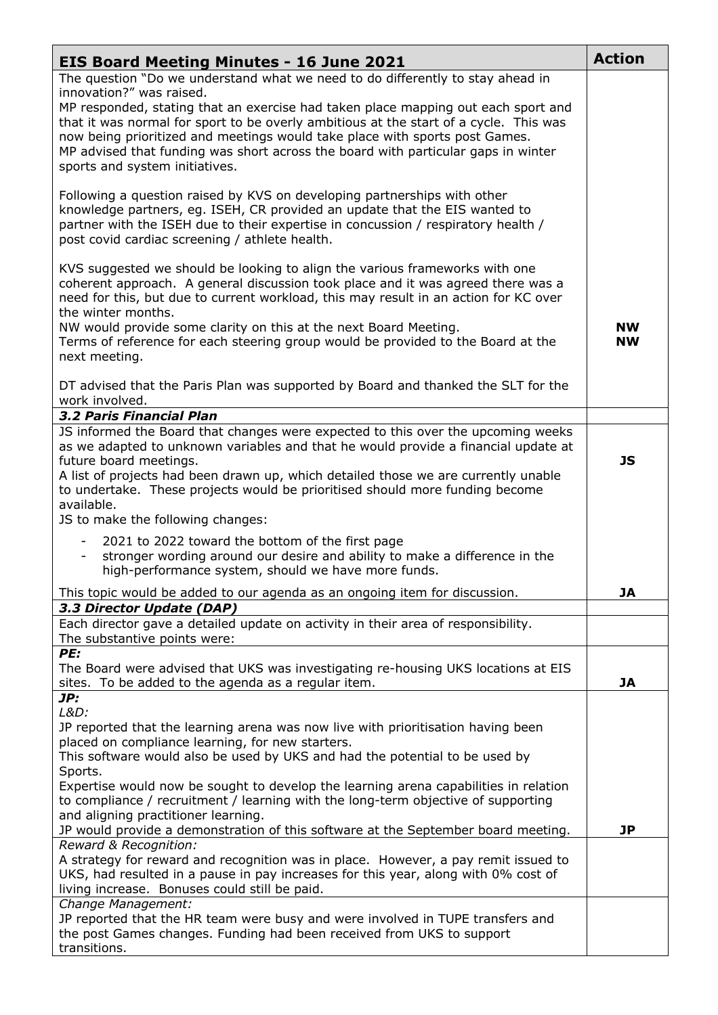| <b>EIS Board Meeting Minutes - 16 June 2021</b>                                                                                                                                                                                                                                                                                                                                                                                                                                                | <b>Action</b>          |
|------------------------------------------------------------------------------------------------------------------------------------------------------------------------------------------------------------------------------------------------------------------------------------------------------------------------------------------------------------------------------------------------------------------------------------------------------------------------------------------------|------------------------|
| The question "Do we understand what we need to do differently to stay ahead in<br>innovation?" was raised.<br>MP responded, stating that an exercise had taken place mapping out each sport and<br>that it was normal for sport to be overly ambitious at the start of a cycle. This was<br>now being prioritized and meetings would take place with sports post Games.<br>MP advised that funding was short across the board with particular gaps in winter<br>sports and system initiatives. |                        |
| Following a question raised by KVS on developing partnerships with other<br>knowledge partners, eg. ISEH, CR provided an update that the EIS wanted to<br>partner with the ISEH due to their expertise in concussion / respiratory health /<br>post covid cardiac screening / athlete health.                                                                                                                                                                                                  |                        |
| KVS suggested we should be looking to align the various frameworks with one<br>coherent approach. A general discussion took place and it was agreed there was a<br>need for this, but due to current workload, this may result in an action for KC over<br>the winter months.                                                                                                                                                                                                                  |                        |
| NW would provide some clarity on this at the next Board Meeting.<br>Terms of reference for each steering group would be provided to the Board at the<br>next meeting.                                                                                                                                                                                                                                                                                                                          | <b>NW</b><br><b>NW</b> |
| DT advised that the Paris Plan was supported by Board and thanked the SLT for the<br>work involved.                                                                                                                                                                                                                                                                                                                                                                                            |                        |
| 3.2 Paris Financial Plan<br>JS informed the Board that changes were expected to this over the upcoming weeks                                                                                                                                                                                                                                                                                                                                                                                   |                        |
| as we adapted to unknown variables and that he would provide a financial update at<br>future board meetings.<br>A list of projects had been drawn up, which detailed those we are currently unable<br>to undertake. These projects would be prioritised should more funding become<br>available.                                                                                                                                                                                               | JS                     |
| JS to make the following changes:                                                                                                                                                                                                                                                                                                                                                                                                                                                              |                        |
| 2021 to 2022 toward the bottom of the first page<br>stronger wording around our desire and ability to make a difference in the<br>high-performance system, should we have more funds.                                                                                                                                                                                                                                                                                                          |                        |
| This topic would be added to our agenda as an ongoing item for discussion.                                                                                                                                                                                                                                                                                                                                                                                                                     | JA                     |
| 3.3 Director Update (DAP)<br>Each director gave a detailed update on activity in their area of responsibility.<br>The substantive points were:                                                                                                                                                                                                                                                                                                                                                 |                        |
| PE:<br>The Board were advised that UKS was investigating re-housing UKS locations at EIS<br>sites. To be added to the agenda as a regular item.                                                                                                                                                                                                                                                                                                                                                | JA                     |
| JP:                                                                                                                                                                                                                                                                                                                                                                                                                                                                                            |                        |
| L&D:<br>JP reported that the learning arena was now live with prioritisation having been<br>placed on compliance learning, for new starters.<br>This software would also be used by UKS and had the potential to be used by                                                                                                                                                                                                                                                                    |                        |
| Sports.<br>Expertise would now be sought to develop the learning arena capabilities in relation<br>to compliance / recruitment / learning with the long-term objective of supporting<br>and aligning practitioner learning.<br>JP would provide a demonstration of this software at the September board meeting.                                                                                                                                                                               | JP                     |
| Reward & Recognition:                                                                                                                                                                                                                                                                                                                                                                                                                                                                          |                        |
| A strategy for reward and recognition was in place. However, a pay remit issued to<br>UKS, had resulted in a pause in pay increases for this year, along with 0% cost of<br>living increase. Bonuses could still be paid.                                                                                                                                                                                                                                                                      |                        |
| Change Management:<br>JP reported that the HR team were busy and were involved in TUPE transfers and<br>the post Games changes. Funding had been received from UKS to support<br>transitions.                                                                                                                                                                                                                                                                                                  |                        |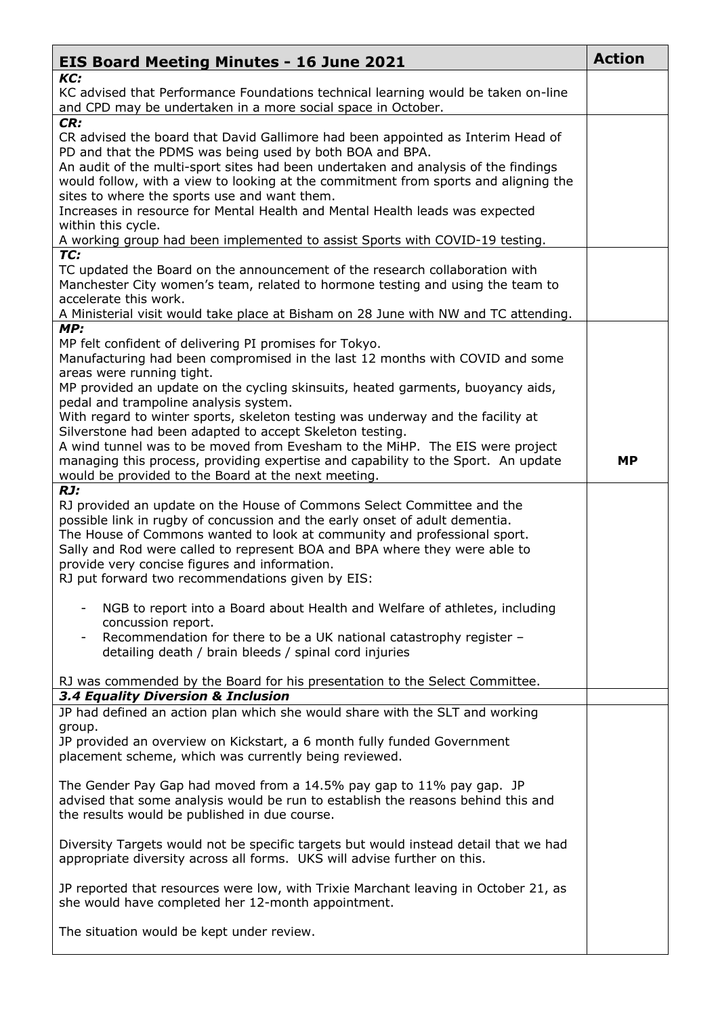| <b>EIS Board Meeting Minutes - 16 June 2021</b>                                                                                                                                                                                                                                                                                                                                                                                                                                                                                                                                                                                                                                   | <b>Action</b> |
|-----------------------------------------------------------------------------------------------------------------------------------------------------------------------------------------------------------------------------------------------------------------------------------------------------------------------------------------------------------------------------------------------------------------------------------------------------------------------------------------------------------------------------------------------------------------------------------------------------------------------------------------------------------------------------------|---------------|
| KC:<br>KC advised that Performance Foundations technical learning would be taken on-line<br>and CPD may be undertaken in a more social space in October.                                                                                                                                                                                                                                                                                                                                                                                                                                                                                                                          |               |
| CR:<br>CR advised the board that David Gallimore had been appointed as Interim Head of<br>PD and that the PDMS was being used by both BOA and BPA.<br>An audit of the multi-sport sites had been undertaken and analysis of the findings<br>would follow, with a view to looking at the commitment from sports and aligning the<br>sites to where the sports use and want them.<br>Increases in resource for Mental Health and Mental Health leads was expected<br>within this cycle.<br>A working group had been implemented to assist Sports with COVID-19 testing.                                                                                                             |               |
| TC:<br>TC updated the Board on the announcement of the research collaboration with<br>Manchester City women's team, related to hormone testing and using the team to<br>accelerate this work.<br>A Ministerial visit would take place at Bisham on 28 June with NW and TC attending.                                                                                                                                                                                                                                                                                                                                                                                              |               |
| MP:<br>MP felt confident of delivering PI promises for Tokyo.<br>Manufacturing had been compromised in the last 12 months with COVID and some<br>areas were running tight.<br>MP provided an update on the cycling skinsuits, heated garments, buoyancy aids,<br>pedal and trampoline analysis system.<br>With regard to winter sports, skeleton testing was underway and the facility at<br>Silverstone had been adapted to accept Skeleton testing.<br>A wind tunnel was to be moved from Evesham to the MiHP. The EIS were project<br>managing this process, providing expertise and capability to the Sport. An update<br>would be provided to the Board at the next meeting. | <b>MP</b>     |
| RJ:<br>RJ provided an update on the House of Commons Select Committee and the<br>possible link in rugby of concussion and the early onset of adult dementia.<br>The House of Commons wanted to look at community and professional sport.<br>Sally and Rod were called to represent BOA and BPA where they were able to<br>provide very concise figures and information.<br>RJ put forward two recommendations given by EIS:                                                                                                                                                                                                                                                       |               |
| NGB to report into a Board about Health and Welfare of athletes, including<br>$\overline{\phantom{a}}$<br>concussion report.<br>Recommendation for there to be a UK national catastrophy register -<br>detailing death / brain bleeds / spinal cord injuries                                                                                                                                                                                                                                                                                                                                                                                                                      |               |
| RJ was commended by the Board for his presentation to the Select Committee.<br>3.4 Equality Diversion & Inclusion                                                                                                                                                                                                                                                                                                                                                                                                                                                                                                                                                                 |               |
| JP had defined an action plan which she would share with the SLT and working<br>group.<br>JP provided an overview on Kickstart, a 6 month fully funded Government<br>placement scheme, which was currently being reviewed.                                                                                                                                                                                                                                                                                                                                                                                                                                                        |               |
| The Gender Pay Gap had moved from a 14.5% pay gap to 11% pay gap. JP<br>advised that some analysis would be run to establish the reasons behind this and<br>the results would be published in due course.                                                                                                                                                                                                                                                                                                                                                                                                                                                                         |               |
| Diversity Targets would not be specific targets but would instead detail that we had<br>appropriate diversity across all forms. UKS will advise further on this.                                                                                                                                                                                                                                                                                                                                                                                                                                                                                                                  |               |
| JP reported that resources were low, with Trixie Marchant leaving in October 21, as<br>she would have completed her 12-month appointment.                                                                                                                                                                                                                                                                                                                                                                                                                                                                                                                                         |               |
| The situation would be kept under review.                                                                                                                                                                                                                                                                                                                                                                                                                                                                                                                                                                                                                                         |               |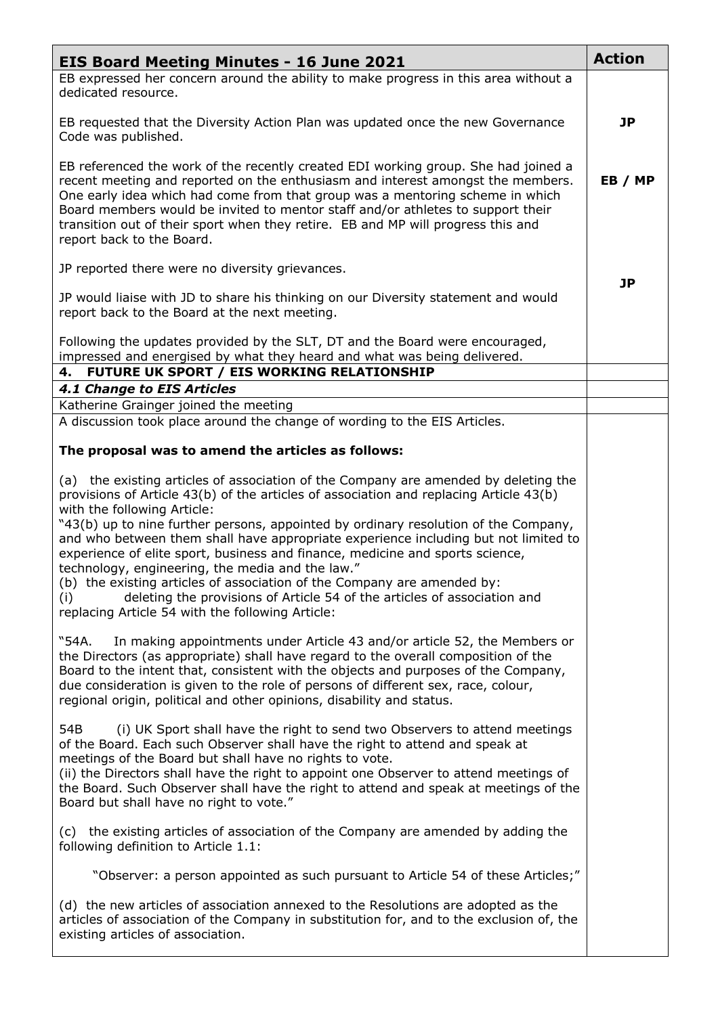| <b>EIS Board Meeting Minutes - 16 June 2021</b>                                                                                                                                                                                                                                                                                                                                                                                                                                                                                                                                                                                                                                                                                                   | <b>Action</b> |
|---------------------------------------------------------------------------------------------------------------------------------------------------------------------------------------------------------------------------------------------------------------------------------------------------------------------------------------------------------------------------------------------------------------------------------------------------------------------------------------------------------------------------------------------------------------------------------------------------------------------------------------------------------------------------------------------------------------------------------------------------|---------------|
| EB expressed her concern around the ability to make progress in this area without a<br>dedicated resource.                                                                                                                                                                                                                                                                                                                                                                                                                                                                                                                                                                                                                                        |               |
| EB requested that the Diversity Action Plan was updated once the new Governance<br>Code was published.                                                                                                                                                                                                                                                                                                                                                                                                                                                                                                                                                                                                                                            | <b>JP</b>     |
| EB referenced the work of the recently created EDI working group. She had joined a<br>recent meeting and reported on the enthusiasm and interest amongst the members.<br>One early idea which had come from that group was a mentoring scheme in which<br>Board members would be invited to mentor staff and/or athletes to support their<br>transition out of their sport when they retire. EB and MP will progress this and<br>report back to the Board.                                                                                                                                                                                                                                                                                        | EB / MP       |
| JP reported there were no diversity grievances.                                                                                                                                                                                                                                                                                                                                                                                                                                                                                                                                                                                                                                                                                                   |               |
| JP would liaise with JD to share his thinking on our Diversity statement and would<br>report back to the Board at the next meeting.                                                                                                                                                                                                                                                                                                                                                                                                                                                                                                                                                                                                               | JP            |
| Following the updates provided by the SLT, DT and the Board were encouraged,<br>impressed and energised by what they heard and what was being delivered.<br>FUTURE UK SPORT / EIS WORKING RELATIONSHIP<br>4.                                                                                                                                                                                                                                                                                                                                                                                                                                                                                                                                      |               |
| <b>4.1 Change to EIS Articles</b>                                                                                                                                                                                                                                                                                                                                                                                                                                                                                                                                                                                                                                                                                                                 |               |
| Katherine Grainger joined the meeting                                                                                                                                                                                                                                                                                                                                                                                                                                                                                                                                                                                                                                                                                                             |               |
| A discussion took place around the change of wording to the EIS Articles.                                                                                                                                                                                                                                                                                                                                                                                                                                                                                                                                                                                                                                                                         |               |
| The proposal was to amend the articles as follows:                                                                                                                                                                                                                                                                                                                                                                                                                                                                                                                                                                                                                                                                                                |               |
| (a) the existing articles of association of the Company are amended by deleting the<br>provisions of Article 43(b) of the articles of association and replacing Article 43(b)<br>with the following Article:<br>"43(b) up to nine further persons, appointed by ordinary resolution of the Company,<br>and who between them shall have appropriate experience including but not limited to<br>experience of elite sport, business and finance, medicine and sports science,<br>technology, engineering, the media and the law."<br>(b) the existing articles of association of the Company are amended by:<br>deleting the provisions of Article 54 of the articles of association and<br>(i)<br>replacing Article 54 with the following Article: |               |
| "54A.<br>In making appointments under Article 43 and/or article 52, the Members or<br>the Directors (as appropriate) shall have regard to the overall composition of the<br>Board to the intent that, consistent with the objects and purposes of the Company,<br>due consideration is given to the role of persons of different sex, race, colour,<br>regional origin, political and other opinions, disability and status.                                                                                                                                                                                                                                                                                                                      |               |
| (i) UK Sport shall have the right to send two Observers to attend meetings<br>54B<br>of the Board. Each such Observer shall have the right to attend and speak at<br>meetings of the Board but shall have no rights to vote.<br>(ii) the Directors shall have the right to appoint one Observer to attend meetings of<br>the Board. Such Observer shall have the right to attend and speak at meetings of the<br>Board but shall have no right to vote."                                                                                                                                                                                                                                                                                          |               |
| (c) the existing articles of association of the Company are amended by adding the<br>following definition to Article 1.1:                                                                                                                                                                                                                                                                                                                                                                                                                                                                                                                                                                                                                         |               |
| "Observer: a person appointed as such pursuant to Article 54 of these Articles;"                                                                                                                                                                                                                                                                                                                                                                                                                                                                                                                                                                                                                                                                  |               |
| (d) the new articles of association annexed to the Resolutions are adopted as the<br>articles of association of the Company in substitution for, and to the exclusion of, the<br>existing articles of association.                                                                                                                                                                                                                                                                                                                                                                                                                                                                                                                                |               |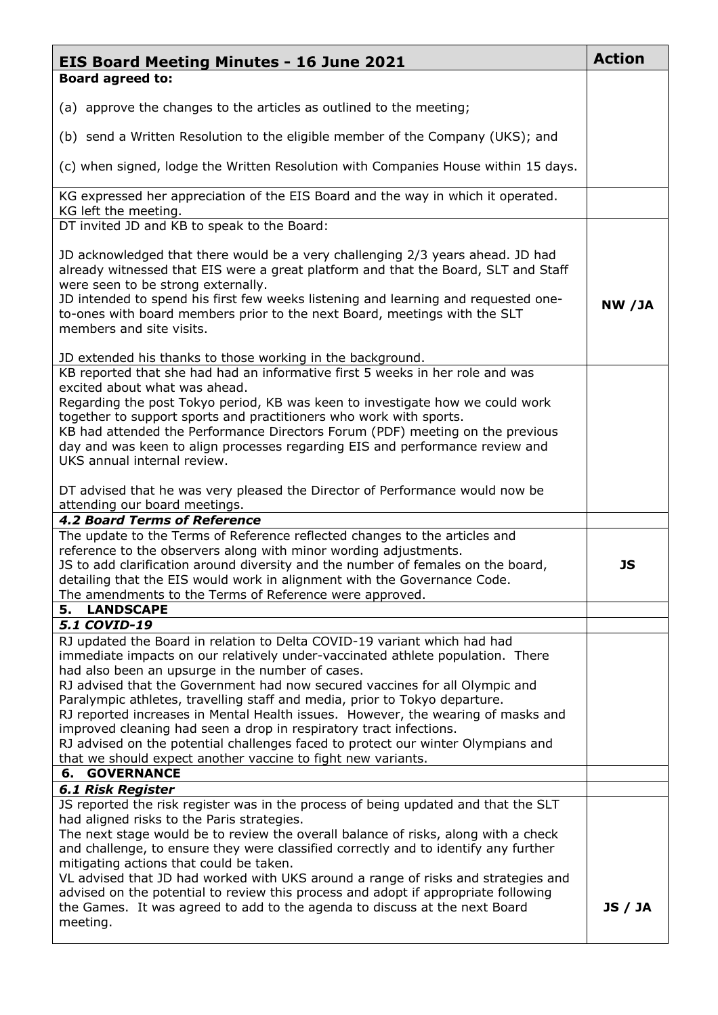| <b>EIS Board Meeting Minutes - 16 June 2021</b>                                                                                                                                                                                                                                                                                                                                                                                                                                                                                                                                                                                                                                                                                   | <b>Action</b>  |
|-----------------------------------------------------------------------------------------------------------------------------------------------------------------------------------------------------------------------------------------------------------------------------------------------------------------------------------------------------------------------------------------------------------------------------------------------------------------------------------------------------------------------------------------------------------------------------------------------------------------------------------------------------------------------------------------------------------------------------------|----------------|
| <b>Board agreed to:</b>                                                                                                                                                                                                                                                                                                                                                                                                                                                                                                                                                                                                                                                                                                           |                |
| (a) approve the changes to the articles as outlined to the meeting;                                                                                                                                                                                                                                                                                                                                                                                                                                                                                                                                                                                                                                                               |                |
| (b) send a Written Resolution to the eligible member of the Company (UKS); and                                                                                                                                                                                                                                                                                                                                                                                                                                                                                                                                                                                                                                                    |                |
| (c) when signed, lodge the Written Resolution with Companies House within 15 days.                                                                                                                                                                                                                                                                                                                                                                                                                                                                                                                                                                                                                                                |                |
| KG expressed her appreciation of the EIS Board and the way in which it operated.                                                                                                                                                                                                                                                                                                                                                                                                                                                                                                                                                                                                                                                  |                |
| KG left the meeting.<br>DT invited JD and KB to speak to the Board:                                                                                                                                                                                                                                                                                                                                                                                                                                                                                                                                                                                                                                                               |                |
| JD acknowledged that there would be a very challenging 2/3 years ahead. JD had<br>already witnessed that EIS were a great platform and that the Board, SLT and Staff<br>were seen to be strong externally.<br>JD intended to spend his first few weeks listening and learning and requested one-<br>to-ones with board members prior to the next Board, meetings with the SLT<br>members and site visits.                                                                                                                                                                                                                                                                                                                         | NW /JA         |
| JD extended his thanks to those working in the background.<br>KB reported that she had had an informative first 5 weeks in her role and was<br>excited about what was ahead.<br>Regarding the post Tokyo period, KB was keen to investigate how we could work<br>together to support sports and practitioners who work with sports.<br>KB had attended the Performance Directors Forum (PDF) meeting on the previous<br>day and was keen to align processes regarding EIS and performance review and<br>UKS annual internal review.                                                                                                                                                                                               |                |
| DT advised that he was very pleased the Director of Performance would now be<br>attending our board meetings.<br><b>4.2 Board Terms of Reference</b>                                                                                                                                                                                                                                                                                                                                                                                                                                                                                                                                                                              |                |
| The update to the Terms of Reference reflected changes to the articles and<br>reference to the observers along with minor wording adjustments.<br>JS to add clarification around diversity and the number of females on the board,<br>detailing that the EIS would work in alignment with the Governance Code.<br>The amendments to the Terms of Reference were approved.                                                                                                                                                                                                                                                                                                                                                         | <b>JS</b>      |
| <b>LANDSCAPE</b><br>5.                                                                                                                                                                                                                                                                                                                                                                                                                                                                                                                                                                                                                                                                                                            |                |
| 5.1 COVID-19<br>RJ updated the Board in relation to Delta COVID-19 variant which had had<br>immediate impacts on our relatively under-vaccinated athlete population. There<br>had also been an upsurge in the number of cases.<br>RJ advised that the Government had now secured vaccines for all Olympic and<br>Paralympic athletes, travelling staff and media, prior to Tokyo departure.<br>RJ reported increases in Mental Health issues. However, the wearing of masks and<br>improved cleaning had seen a drop in respiratory tract infections.<br>RJ advised on the potential challenges faced to protect our winter Olympians and<br>that we should expect another vaccine to fight new variants.<br><b>6. GOVERNANCE</b> |                |
| <b>6.1 Risk Register</b>                                                                                                                                                                                                                                                                                                                                                                                                                                                                                                                                                                                                                                                                                                          |                |
| JS reported the risk register was in the process of being updated and that the SLT<br>had aligned risks to the Paris strategies.<br>The next stage would be to review the overall balance of risks, along with a check<br>and challenge, to ensure they were classified correctly and to identify any further<br>mitigating actions that could be taken.<br>VL advised that JD had worked with UKS around a range of risks and strategies and<br>advised on the potential to review this process and adopt if appropriate following<br>the Games. It was agreed to add to the agenda to discuss at the next Board<br>meeting.                                                                                                     | <b>JS / JA</b> |